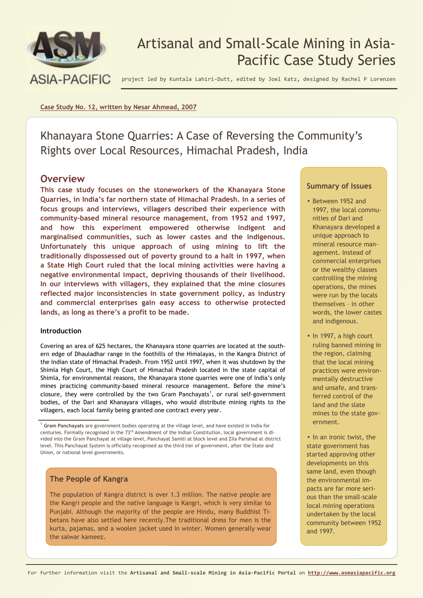

# Artisanal and Small-Scale Mining in Asia-Pacific Case Study Series

project led by Kuntala Lahiri-Dutt, edited by Joel Katz, designed by Rachel P Lorenzen

**Case Study No. 12, written by Nesar Ahmead, 2007**

Khanayara Stone Quarries: A Case of Reversing the Community's Rights over Local Resources, Himachal Pradesh, India

## **Overview**

**This case study focuses on the stoneworkers of the Khanayara Stone Quarries, in India's far northern state of Himachal Pradesh. In a series of focus groups and interviews, villagers described their experience with community-based mineral resource management, from 1952 and 1997, and how this experiment empowered otherwise indigent and marginalised communities, such as lower castes and the indigenous. Unfortunately this unique approach of using mining to lift the traditionally dispossessed out of poverty ground to a halt in 1997, when a State High Court ruled that the local mining activities were having a negative environmental impact, depriving thousands of their livelihood. In our interviews with villagers, they explained that the mine closures reflected major inconsistencies in state government policy, as industry and commercial enterprises gain easy access to otherwise protected lands, as long as there's a profit to be made.** 

### **Introduction**

Covering an area of 625 hectares, the Khanayara stone quarries are located at the southern edge of Dhauladhar range in the foothills of the Himalayas, in the Kangra District of the Indian state of Himachal Pradesh. From 1952 until 1997, when it was shutdown by the Shimla High Court, the High Court of Himachal Pradesh located in the state capital of Shimla, for environmental reasons, the Khanayara stone quarries were one of India's only mines practicing community-based mineral resource management. Before the mine's closure, they were controlled by the two Gram Panchayats<sup>1</sup>, or rural self-government bodies, of the Dari and Khanayara villages, who would distribute mining rights to the villagers, each local family being granted one contract every year.

## **The People of Kangra**

The population of Kangra district is over 1.3 million. The native people are the Kangri people and the native language is Kangri, which is very similar to Punjabi. Although the majority of the people are Hindu, many Buddhist Tibetans have also settled here recently.The traditional dress for men is the kurta, pajamas, and a woolen jacket used in winter. Women generally wear the salwar kameez.

### **Summary of Issues**

- Between 1952 and 1997, the local communities of Dari and Khanayara developed a unique approach to mineral resource management. Instead of commercial enterprises or the wealthy classes controlling the mining operations, the mines were run by the locals themselves – in other words, the lower castes and indigenous.
- In 1997, a high court ruling banned mining in the region, claiming that the local mining practices were environmentally destructive and unsafe, and transferred control of the land and the slate mines to the state government.
- In an ironic twist, the state government has started approving other developments on this same land, even though the environmental impacts are far more serious than the small-scale local mining operations undertaken by the local community between 1952 and 1997.

<sup>1</sup> **Gram Panchayats** are government bodies operating at the village level, and have existed in India for centuries. Formally recognised in the 73<sup>rd</sup> Amendment of the Indian Constitution, local government is divided into the Gram Panchayat at village level, Panchayat Samiti at block level and Zila Parishad at district level. This Panchayat System is officially recognised as the third tier of government, after the State and Union, or national level governments.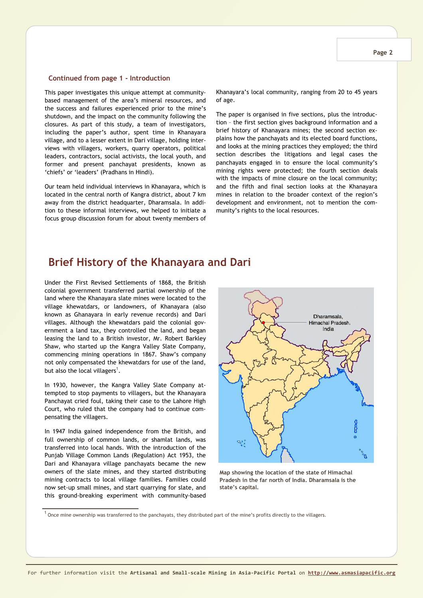#### **Continued from page 1 - Introduction**

This paper investigates this unique attempt at communitybased management of the area's mineral resources, and the success and failures experienced prior to the mine's shutdown, and the impact on the community following the closures. As part of this study, a team of investigators, including the paper's author, spent time in Khanayara village, and to a lesser extent in Dari village, holding interviews with villagers, workers, quarry operators, political leaders, contractors, social activists, the local youth, and former and present panchayat presidents, known as 'chiefs' or 'leaders' (Pradhans in Hindi).

Our team held individual interviews in Khanayara, which is located in the central north of Kangra district, about 7 km away from the district headquarter, Dharamsala. In addition to these informal interviews, we helped to initiate a focus group discussion forum for about twenty members of Khanayara's local community, ranging from 20 to 45 years of age.

The paper is organised in five sections, plus the introduction – the first section gives background information and a brief history of Khanayara mines; the second section explains how the panchayats and its elected board functions, and looks at the mining practices they employed; the third section describes the litigations and legal cases the panchayats engaged in to ensure the local community's mining rights were protected; the fourth section deals with the impacts of mine closure on the local community; and the fifth and final section looks at the Khanayara mines in relation to the broader context of the region's development and environment, not to mention the community's rights to the local resources.

## **Brief History of the Khanayara and Dari**

Under the First Revised Settlements of 1868, the British colonial government transferred partial ownership of the land where the Khanayara slate mines were located to the village khewatdars, or landowners, of Khanayara (also known as Ghanayara in early revenue records) and Dari villages. Although the khewatdars paid the colonial government a land tax, they controlled the land, and began leasing the land to a British investor, Mr. Robert Barkley Shaw, who started up the Kangra Valley Slate Company, commencing mining operations in 1867. Shaw's company not only compensated the khewatdars for use of the land, but also the local villagers $^1$ .

In 1930, however, the Kangra Valley Slate Company attempted to stop payments to villagers, but the Khanayara Panchayat cried foul, taking their case to the Lahore High Court, who ruled that the company had to continue compensating the villagers.

In 1947 India gained independence from the British, and full ownership of common lands, or shamlat lands, was transferred into local hands. With the introduction of the Punjab Village Common Lands (Regulation) Act 1953, the Dari and Khanayara village panchayats became the new owners of the slate mines, and they started distributing mining contracts to local village families. Families could now set-up small mines, and start quarrying for slate, and this ground-breaking experiment with community-based



**Map showing the location of the state of Himachal Pradesh in the far north of India. Dharamsala is the state's capital.** 

 $^{\rm 1}$  Once mine ownership was transferred to the panchayats, they distributed part of the mine's profits directly to the villagers.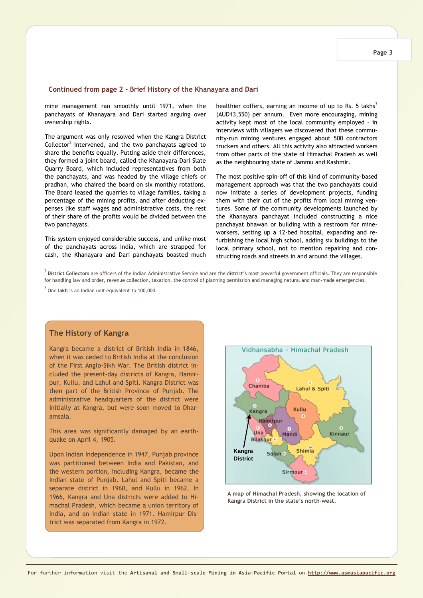#### **Continued from page 2 - Brief History of the Khanayara and Dari**

mine management ran smoothly until 1971, when the panchayats of Khanayara and Dari started arguing over ownership rights.

The argument was only resolved when the Kangra District Collector<sup>2</sup> intervened, and the two panchayats agreed to share the benefits equally. Putting aside their differences, they formed a joint board, called the Khanayara-Dari Slate Quarry Board, which included representatives from both the panchayats, and was headed by the village chiefs or pradhan, who chaired the board on six monthly rotations. The Board leased the quarries to village families, taking a percentage of the mining profits, and after deducting expenses like staff wages and administrative costs, the rest of their share of the profits would be divided between the two panchayats.

This system enjoyed considerable success, and unlike most of the panchayats across India, which are strapped for cash, the Khanayara and Dari panchayats boasted much healthier coffers, earning an income of up to Rs. 5 lakhs<sup>3</sup> (AUD13,550) per annum. Even more encouraging, mining activity kept most of the local community employed – in interviews with villagers we discovered that these community-run mining ventures engaged about 500 contractors truckers and others. All this activity also attracted workers from other parts of the state of Himachal Pradesh as well as the neighbouring state of Jammu and Kashmir.

The most positive spin-off of this kind of community-based management approach was that the two panchayats could now initiate a series of development projects, funding them with their cut of the profits from local mining ventures. Some of the community developments launched by the Khanayara panchayat included constructing a nice panchayat bhawan or building with a restroom for mineworkers, setting up a 12-bed hospital, expanding and refurbishing the local high school, adding six buildings to the local primary school, not to mention repairing and constructing roads and streets in and around the villages.

2 **District Collectors** are officers of the Indian Administrative Service and are the district's most powerful government officials. They are responsible for handling law and order, revenue collection, taxation, the control of planning permission and managing natural and man-made emergencies.

3 One **lakh** is an Indian unit equivalent to 100,000.

### **The History of Kangra**

Kangra became a district of British India in 1846, when it was ceded to British India at the conclusion of the First Anglo-Sikh War. The British district included the present-day districts of Kangra, Hamirpur, Kullu, and Lahul and Spiti. Kangra District was then part of the British Province of Punjab. The administrative headquarters of the district were initially at Kangra, but were soon moved to Dharamsala.

This area was significantly damaged by an earthquake on April 4, 1905.

Upon Indian Independence in 1947, Punjab province was partitioned between India and Pakistan, and the western portion, including Kangra, became the Indian state of Punjab. Lahul and Spiti became a separate district in 1960, and Kullu in 1962. In 1966, Kangra and Una districts were added to Himachal Pradesh, which became a union territory of India, and an Indian state in 1971. Hamirpur District was separated from Kangra in 1972.



**A map of Himachal Pradesh, showing the location of Kangra District in the state's north-west.**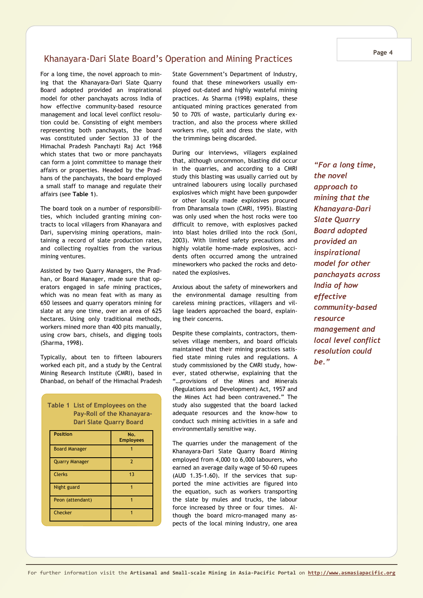## Khanayara-Dari Slate Board's Operation and Mining Practices

For a long time, the novel approach to mining that the Khanayara-Dari Slate Quarry Board adopted provided an inspirational model for other panchayats across India of how effective community-based resource management and local level conflict resolution could be. Consisting of eight members representing both panchayats, the board was constituted under Section 33 of the Himachal Pradesh Panchayti Raj Act 1968 which states that two or more panchayats can form a joint committee to manage their affairs or properties. Headed by the Pradhans of the panchayats, the board employed a small staff to manage and regulate their affairs (see **Table 1**).

The board took on a number of responsibilities, which included granting mining contracts to local villagers from Khanayara and Dari, supervising mining operations, maintaining a record of slate production rates, and collecting royalties from the various mining ventures.

Assisted by two Quarry Managers, the Pradhan, or Board Manager, made sure that operators engaged in safe mining practices, which was no mean feat with as many as 650 lessees and quarry operators mining for slate at any one time, over an area of 625 hectares. Using only traditional methods, workers mined more than 400 pits manually, using crow bars, chisels, and digging tools (Sharma, 1998).

Typically, about ten to fifteen labourers worked each pit, and a study by the Central Mining Research Institute (CMRI), based in Dhanbad, on behalf of the Himachal Pradesh

| Table 1<br>List of Employees on the<br><b>Pay-Roll of the Khanayara-</b><br><b>Dari Slate Quarry Board</b> |                         |  |
|------------------------------------------------------------------------------------------------------------|-------------------------|--|
| <b>Position</b>                                                                                            | No.<br><b>Employees</b> |  |
| <b>Board Manager</b>                                                                                       |                         |  |
| <b>Quarry Manager</b>                                                                                      | $\overline{2}$          |  |
| <b>Clerks</b>                                                                                              | 13                      |  |
| Night guard                                                                                                | 1                       |  |
| Peon (attendant)                                                                                           |                         |  |
| Checker                                                                                                    | 1                       |  |

State Government's Department of Industry, found that these mineworkers usually employed out-dated and highly wasteful mining practices. As Sharma (1998) explains, these antiquated mining practices generated from 50 to 70% of waste, particularly during extraction, and also the process where skilled workers rive, split and dress the slate, with the trimmings being discarded.

During our interviews, villagers explained that, although uncommon, blasting did occur in the quarries, and according to a CMRI study this blasting was usually carried out by untrained labourers using locally purchased explosives which might have been gunpowder or other locally made explosives procured from Dharamsala town (CMRI, 1995). Blasting was only used when the host rocks were too difficult to remove, with explosives packed into blast holes drilled into the rock (Soni, 2003). With limited safety precautions and highly volatile home-made explosives, accidents often occurred among the untrained mineworkers who packed the rocks and detonated the explosives.

Anxious about the safety of mineworkers and the environmental damage resulting from careless mining practices, villagers and village leaders approached the board, explaining their concerns.

Despite these complaints, contractors, themselves village members, and board officials maintained that their mining practices satisfied state mining rules and regulations. A study commissioned by the CMRI study, however, stated otherwise, explaining that the "…provisions of the Mines and Minerals (Regulations and Development) Act, 1957 and the Mines Act had been contravened." The study also suggested that the board lacked adequate resources and the know-how to conduct such mining activities in a safe and environmentally sensitive way.

The quarries under the management of the Khanayara-Dari Slate Quarry Board Mining employed from 4,000 to 6,000 labourers, who earned an average daily wage of 50-60 rupees (AUD 1.35-1.60). If the services that supported the mine activities are figured into the equation, such as workers transporting the slate by mules and trucks, the labour force increased by three or four times. Although the board micro-managed many aspects of the local mining industry, one area

*"For a long time, the novel approach to mining that the Khanayara-Dari Slate Quarry Board adopted provided an inspirational model for other panchayats across India of how effective community-based resource management and local level conflict resolution could be."*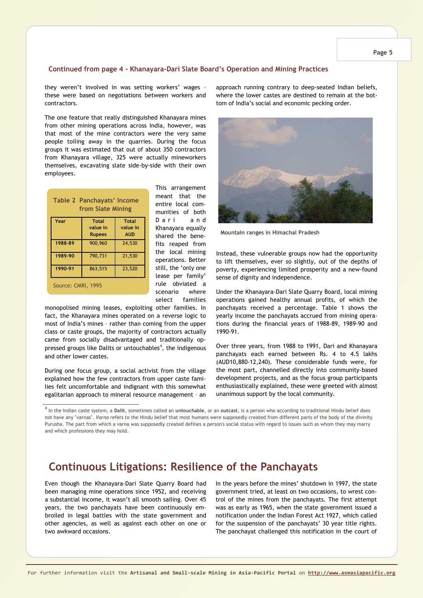### **Continued from page 4 - Khanayara-Dari Slate Board's Operation and Mining Practices**

they weren't involved in was setting workers' wages – these were based on negotiations between workers and contractors.

The one feature that really distinguished Khanayara mines from other mining operations across India, however, was that most of the mine contractors were the very same people toiling away in the quarries. During the focus groups it was estimated that out of about 350 contractors from Khanayara village, 325 were actually mineworkers themselves, excavating slate side-by-side with their own employees.

| Table 2 Panchayats' Income<br>from Slate Mining |                                    |                                        |
|-------------------------------------------------|------------------------------------|----------------------------------------|
| Year                                            | Total<br>value in<br><b>Rupees</b> | <b>Total</b><br>value in<br><b>AUD</b> |
| 1988-89                                         | 900,960                            | 24,530                                 |
| 1989-90                                         | 790,731                            | 21,530                                 |
| 1990-91                                         | 863,515                            | 23,520                                 |
| Source: CMRI, 1995                              |                                    |                                        |

This arrangement meant that the entire local communities of both D a r i a n d Khanayara equally shared the benefits reaped from the local mining operations. Better still, the 'only one lease per family' rule obviated a scenario where select families

monopolised mining leases, exploiting other families. In fact, the Khanayara mines operated on a reverse logic to most of India's mines – rather than coming from the upper class or caste groups, the majority of contractors actually came from socially disadvantaged and traditionally oppressed groups like Dalits or untouchables<sup>4</sup>, the indigenous and other lower castes.

During one focus group, a social activist from the village explained how the few contractors from upper caste families felt uncomfortable and indignant with this somewhat egalitarian approach to mineral resource management – an approach running contrary to deep-seated Indian beliefs, where the lower castes are destined to remain at the bottom of India's social and economic pecking order.



**Mountain ranges in Himachal Pradesh** 

Instead, these vulnerable groups now had the opportunity to lift themselves, ever so slightly, out of the depths of poverty, experiencing limited prosperity and a new-found sense of dignity and independence.

Under the Khanayara-Dari Slate Quarry Board, local mining operations gained healthy annual profits, of which the panchayats received a percentage. Table 1 shows the yearly income the panchayats accrued from mining operations during the financial years of 1988-89, 1989-90 and 1990-91.

Over three years, from 1988 to 1991, Dari and Khanayara panchayats each earned between Rs. 4 to 4.5 lakhs (AUD10,880-12,240). These considerable funds were, for the most part, channelled directly into community-based development projects, and as the focus group participants enthusiastically explained, these were greeted with almost unanimous support by the local community.

4 In the Indian caste system, a **Dalit**, sometimes called an **untouchable**, or an **outcast**, is a person who according to traditional Hindu belief does not have any "varnas". *Varna* refers to the Hindu belief that most humans were supposedly created from different parts of the body of the divinity Purusha. The part from which a varna was supposedly created defines a person's social status with regard to issues such as whom they may marry and which professions they may hold.

## **Continuous Litigations: Resilience of the Panchayats**

Even though the Khanayara-Dari Slate Quarry Board had been managing mine operations since 1952, and receiving a substantial income, it wasn't all smooth sailing. Over 45 years, the two panchayats have been continuously embroiled in legal battles with the state government and other agencies, as well as against each other on one or two awkward occasions.

In the years before the mines' shutdown in 1997, the state government tried, at least on two occasions, to wrest control of the mines from the panchayats. The first attempt was as early as 1965, when the state government issued a notification under the Indian Forest Act 1927, which called for the suspension of the panchayats' 30 year title rights. The panchayat challenged this notification in the court of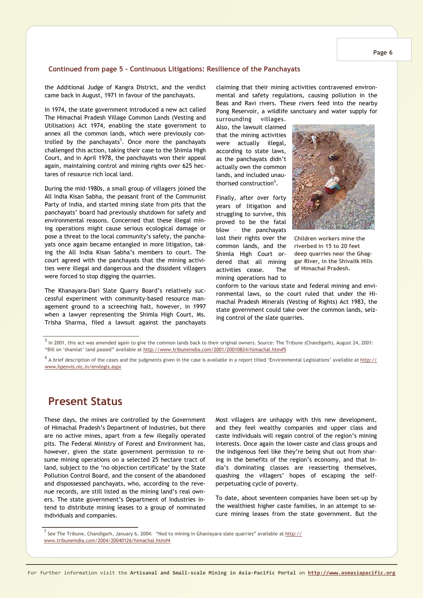### **Continued from page 5 - Continuous Litigations: Resilience of the Panchayats**

the Additional Judge of Kangra District, and the verdict came back in August, 1971 in favour of the panchayats.

In 1974, the state government introduced a new act called The Himachal Pradesh Village Common Lands (Vesting and Utilisation) Act 1974, enabling the state government to annex all the common lands, which were previously controlled by the panchayats<sup>5</sup>. Once more the panchayats challenged this action, taking their case to the Shimla High Court, and in April 1978, the panchayats won their appeal again, maintaining control and mining rights over 625 hectares of resource rich local land.

During the mid-1980s, a small group of villagers joined the All India Kisan Sabha, the peasant front of the Communist Party of India, and started mining slate from pits that the panchayats' board had previously shutdown for safety and environmental reasons. Concerned that these illegal mining operations might cause serious ecological damage or pose a threat to the local community's safety, the panchayats once again became entangled in more litigation, taking the All India Kisan Sabha's members to court. The court agreed with the panchayats that the mining activities were illegal and dangerous and the dissident villagers were forced to stop digging the quarries.

The Khanayara-Dari Slate Quarry Board's relatively successful experiment with community-based resource management ground to a screeching halt, however, in 1997 when a lawyer representing the Shimla High Court, Ms. Trisha Sharma, filed a lawsuit against the panchayats claiming that their mining activities contravened environmental and safety regulations, causing pollution in the Beas and Ravi rivers. These rivers feed into the nearby Pong Reservoir, a wildlife sanctuary and water supply for

surrounding villages. Also, the lawsuit claimed that the mining activities were actually illegal, according to state laws, as the panchayats didn't actually own the common lands, and included unauthorised construction $^6$ .

Finally, after over forty years of litigation and struggling to survive, this proved to be the fatal blow – the panchayats lost their rights over the common lands, and the Shimla High Court ordered that all mining activities cease. The mining operations had to



**Children workers mine the riverbed in 15 to 20 feet deep quarries near the Ghaggar River, in the Shivalik Hills of Himachal Pradesh.** 

conform to the various state and federal mining and environmental laws, so the court ruled that under the Himachal Pradesh Minerals (Vesting of Rights) Act 1983, the state government could take over the common lands, seizing control of the slate quarries.

 $^5$  In 2001, this act was amended again to give the common lands back to their original owners. Source: The Tribune (Chandigarh), August 24, 2001: "Bill on 'shamlat' land passed" available at http://www.tribuneindia.com/2001/20010824/himachal.htm#5

 $^6$  A brief description of the cases and the judgments given in the case is available in a report titled 'Environmental Legislations' available at <u>http://</u> www.hpenvis.nic.in/envlegis.aspx

## **Present Status**

These days, the mines are controlled by the Government of Himachal Pradesh's Department of Industries, but there are no active mines, apart from a few illegally operated pits. The Federal Ministry of Forest and Environment has, however, given the state government permission to resume mining operations on a selected 25 hectare tract of land, subject to the 'no objection certificate' by the State Pollution Control Board, and the consent of the abandoned and dispossessed panchayats, who, according to the revenue records, are still listed as the mining land's real owners. The state government's Department of Industries intend to distribute mining leases to a group of nominated individuals and companies.

Most villagers are unhappy with this new development, and they feel wealthy companies and upper class and caste individuals will regain control of the region's mining interests. Once again the lower caste and class groups and the indigenous feel like they're being shut out from sharing in the benefits of the region's economy, and that India's dominating classes are reasserting themselves, quashing the villagers' hopes of escaping the selfperpetuating cycle of poverty.

To date, about seventeen companies have been set-up by the wealthiest higher caste families, in an attempt to secure mining leases from the state government. But the

<sup>&</sup>lt;sup>7</sup> See The Tribune, Chandigarh, January 6, 2004: "Nod to mining in Ghaniayara slate quarries" available at <u>http://</u> www.tribuneindia.com/2004/20040126/himachal.htm#4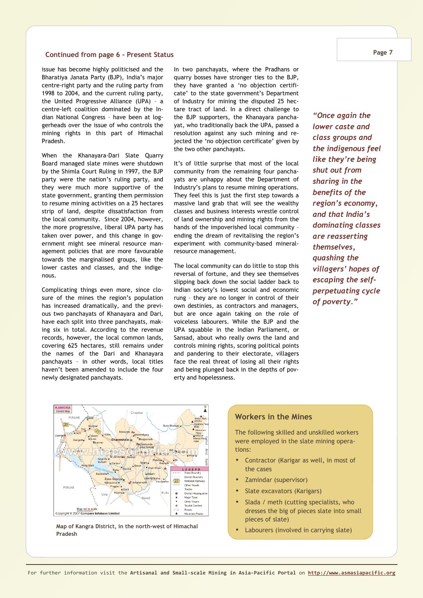### **Continued from page 6 - Present Status**

issue has become highly politicised and the Bharatiya Janata Party (BJP), India's major centre-right party and the ruling party from 1998 to 2004, and the current ruling party, the United Progressive Alliance (UPA) – a centre-left coalition dominated by the Indian National Congress – have been at loggerheads over the issue of who controls the mining rights in this part of Himachal Pradesh.

When the Khanayara-Dari Slate Quarry Board managed slate mines were shutdown by the Shimla Court Ruling in 1997, the BJP party were the nation's ruling party, and they were much more supportive of the state government, granting them permission to resume mining activities on a 25 hectares strip of land, despite dissatisfaction from the local community. Since 2004, however, the more progressive, liberal UPA party has taken over power, and this change in government might see mineral resource management policies that are more favourable towards the marginalised groups, like the lower castes and classes, and the indigenous.

Complicating things even more, since closure of the mines the region's population has increased dramatically, and the previous two panchayats of Khanayara and Dari, have each split into three panchayats, making six in total. According to the revenue records, however, the local common lands, covering 625 hectares, still remains under the names of the Dari and Khanayara panchayats – in other words, local titles haven't been amended to include the four newly designated panchayats.

In two panchayats, where the Pradhans or quarry bosses have stronger ties to the BJP, they have granted a 'no objection certificate' to the state government's Department of Industry for mining the disputed 25 hectare tract of land. In a direct challenge to the BJP supporters, the Khanayara panchayat, who traditionally back the UPA, passed a resolution against any such mining and rejected the 'no objection certificate' given by the two other panchayats.

It's of little surprise that most of the local community from the remaining four panchayats are unhappy about the Department of Industry's plans to resume mining operations. They feel this is just the first step towards a massive land grab that will see the wealthy classes and business interests wrestle control of land ownership and mining rights from the hands of the impoverished local community – ending the dream of revitalising the region's experiment with community-based mineralresource management.

The local community can do little to stop this reversal of fortune, and they see themselves slipping back down the social ladder back to Indian society's lowest social and economic rung – they are no longer in control of their own destinies, as contractors and managers, but are once again taking on the role of voiceless labourers. While the BJP and the UPA squabble in the Indian Parliament, or Sansad, about who really owns the land and controls mining rights, scoring political points and pandering to their electorate, villagers face the real threat of losing all their rights and being plunged back in the depths of poverty and hopelessness.

*"Once again the lower caste and class groups and the indigenous feel like they're being shut out from sharing in the benefits of the region's economy, and that India's dominating classes are reasserting themselves, quashing the villagers' hopes of escaping the selfperpetuating cycle of poverty."* 



**A** Map of Kangra District, in the north-west of Himachal **Map Map Map** of Kangra District, in the north-west of Himachal **Company Company Company Company Company Company Company Company Company Compa Pradesh** 

## **Workers in the Mines**

The following skilled and unskilled workers were employed in the slate mining operations:

- Contractor (Karigar as well, in most of the cases
- Zamindar (supervisor)
- Slate excavators (Karigars)
- Slada / meth (cutting specialists, who dresses the big of pieces slate into small pieces of slate)
-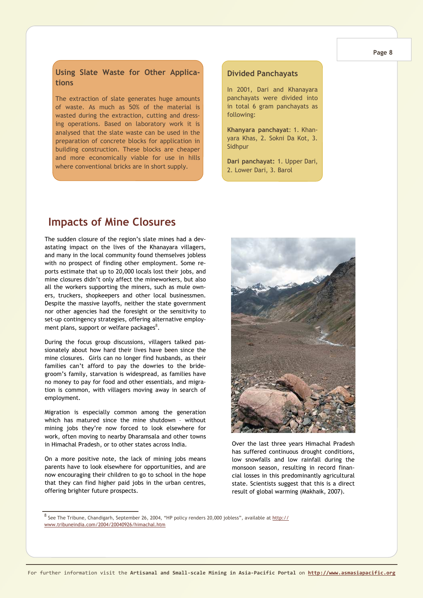#### **Page 8**

## **Using Slate Waste for Other Applications**

The extraction of slate generates huge amounts of waste. As much as 50% of the material is wasted during the extraction, cutting and dressing operations. Based on laboratory work it is analysed that the slate waste can be used in the preparation of concrete blocks for application in building construction. These blocks are cheaper and more economically viable for use in hills where conventional bricks are in short supply.

## **Divided Panchayats**

In 2001, Dari and Khanayara panchayats were divided into in total 6 gram panchayats as following:

**Khanyara panchayat**: 1. Khanyara Khas, 2. Sokni Da Kot, 3. Sidhpur

**Dari panchayat:** 1. Upper Dari, 2. Lower Dari, 3. Barol

## **Impacts of Mine Closures**

The sudden closure of the region's slate mines had a devastating impact on the lives of the Khanayara villagers, and many in the local community found themselves jobless with no prospect of finding other employment. Some reports estimate that up to 20,000 locals lost their jobs, and mine closures didn't only affect the mineworkers, but also all the workers supporting the miners, such as mule owners, truckers, shopkeepers and other local businessmen. Despite the massive layoffs, neither the state government nor other agencies had the foresight or the sensitivity to set-up contingency strategies, offering alternative employment plans, support or welfare packages $^8$ .

During the focus group discussions, villagers talked passionately about how hard their lives have been since the mine closures. Girls can no longer find husbands, as their families can't afford to pay the dowries to the bridegroom's family, starvation is widespread, as families have no money to pay for food and other essentials, and migration is common, with villagers moving away in search of employment.

Migration is especially common among the generation which has matured since the mine shutdown – without mining jobs they're now forced to look elsewhere for work, often moving to nearby Dharamsala and other towns in Himachal Pradesh, or to other states across India.

On a more positive note, the lack of mining jobs means parents have to look elsewhere for opportunities, and are now encouraging their children to go to school in the hope that they can find higher paid jobs in the urban centres, offering brighter future prospects.



Over the last three years Himachal Pradesh has suffered continuous drought conditions, low snowfalls and low rainfall during the monsoon season, resulting in record financial losses in this predominantly agricultural state. Scientists suggest that this is a direct result of global warming (Makhaik, 2007).

<sup>8</sup> See The Tribune, Chandigarh, September 26, 2004, "HP policy renders 20,000 jobless", available at <u>http://</u> www.tribuneindia.com/2004/20040926/himachal.htm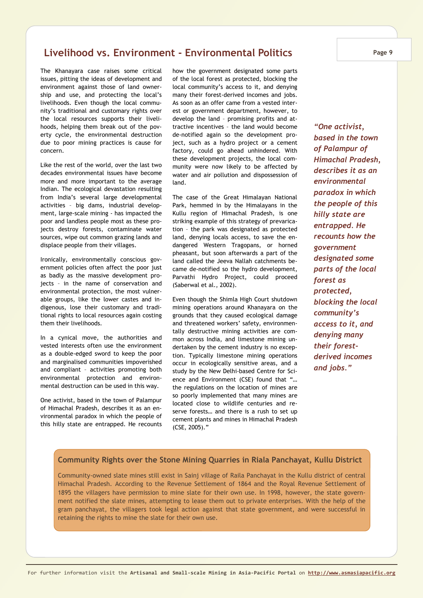## **Livelihood vs. Environment - Environmental Politics**

The Khanayara case raises some critical issues, pitting the ideas of development and environment against those of land ownership and use, and protecting the local's livelihoods. Even though the local community's traditional and customary rights over the local resources supports their livelihoods, helping them break out of the poverty cycle, the environmental destruction due to poor mining practices is cause for concern.

Like the rest of the world, over the last two decades environmental issues have become more and more important to the average Indian. The ecological devastation resulting from India's several large developmental activities – big dams, industrial development, large-scale mining - has impacted the poor and landless people most as these projects destroy forests, contaminate water sources, wipe out common grazing lands and displace people from their villages.

Ironically, environmentally conscious government policies often affect the poor just as badly as the massive development projects – in the name of conservation and environmental protection, the most vulnerable groups, like the lower castes and indigenous, lose their customary and traditional rights to local resources again costing them their livelihoods.

In a cynical move, the authorities and vested interests often use the environment as a double-edged sword to keep the poor and marginalised communities impoverished and compliant – activities promoting both environmental protection and environmental destruction can be used in this way.

One activist, based in the town of Palampur of Himachal Pradesh, describes it as an environmental paradox in which the people of this hilly state are entrapped. He recounts how the government designated some parts of the local forest as protected, blocking the local community's access to it, and denying many their forest-derived incomes and jobs. As soon as an offer came from a vested interest or government department, however, to develop the land – promising profits and attractive incentives – the land would become de-notified again so the development project, such as a hydro project or a cement factory, could go ahead unhindered. With these development projects, the local community were now likely to be affected by water and air pollution and dispossession of land.

The case of the Great Himalayan National Park, hemmed in by the Himalayans in the Kullu region of Himachal Pradesh, is one striking example of this strategy of prevarication – the park was designated as protected land, denying locals access, to save the endangered Western Tragopans, or horned pheasant, but soon afterwards a part of the land called the Jeeva Nallah catchments became de-notified so the hydro development, Parvathi Hydro Project, could proceed (Saberwal et al., 2002).

Even though the Shimla High Court shutdown mining operations around Khanayara on the grounds that they caused ecological damage and threatened workers' safety, environmentally destructive mining activities are common across India, and limestone mining undertaken by the cement industry is no exception. Typically limestone mining operations occur in ecologically sensitive areas, and a study by the New Delhi-based Centre for Science and Environment (CSE) found that "… the regulations on the location of mines are so poorly implemented that many mines are located close to wildlife centuries and reserve forests… and there is a rush to set up cement plants and mines in Himachal Pradesh (CSE, 2005)."

*"One activist, based in the town of Palampur of Himachal Pradesh, describes it as an environmental paradox in which the people of this hilly state are entrapped. He recounts how the government designated some parts of the local forest as protected, blocking the local community's access to it, and denying many their forestderived incomes and jobs."* 

### **Community Rights over the Stone Mining Quarries in Riala Panchayat, Kullu District**

Community-owned slate mines still exist in Sainj village of Raila Panchayat in the Kullu district of central Himachal Pradesh. According to the Revenue Settlement of 1864 and the Royal Revenue Settlement of 1895 the villagers have permission to mine slate for their own use. In 1998, however, the state government notified the slate mines, attempting to lease them out to private enterprises. With the help of the gram panchayat, the villagers took legal action against that state government, and were successful in retaining the rights to mine the slate for their own use.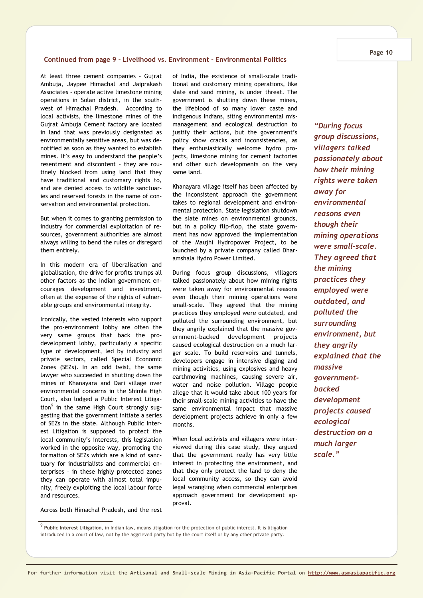#### **Continued from page 9 - Livelihood vs. Environment - Environmental Politics**

At least three cement companies - Gujrat Ambuja, Jaypee Himachal and Jaiprakash Associates - operate active limestone mining operations in Solan district, in the southwest of Himachal Pradesh. According to local activists, the limestone mines of the Gujrat Ambuja Cement factory are located in land that was previously designated as environmentally sensitive areas, but was denotified as soon as they wanted to establish mines. It's easy to understand the people's resentment and discontent – they are routinely blocked from using land that they have traditional and customary rights to, and are denied access to wildlife sanctuaries and reserved forests in the name of conservation and environmental protection.

But when it comes to granting permission to industry for commercial exploitation of resources, government authorities are almost always willing to bend the rules or disregard them entirely.

In this modern era of liberalisation and globalisation, the drive for profits trumps all other factors as the Indian government encourages development and investment, often at the expense of the rights of vulnerable groups and environmental integrity.

Ironically, the vested interests who support the pro-environment lobby are often the very same groups that back the prodevelopment lobby, particularly a specific type of development, led by industry and private sectors, called Special Economic Zones (SEZs). In an odd twist, the same lawyer who succeeded in shutting down the mines of Khanayara and Dari village over environmental concerns in the Shimla High Court, also lodged a Public Interest Litigation<sup>9</sup> in the same High Court strongly suggesting that the government initiate a series of SEZs in the state. Although Public Interest Litigation is supposed to protect the local community's interests, this legislation worked in the opposite way, promoting the formation of SEZs which are a kind of sanctuary for industrialists and commercial enterprises – in these highly protected zones they can operate with almost total impunity, freely exploiting the local labour force and resources.

Across both Himachal Pradesh, and the rest

of India, the existence of small-scale traditional and customary mining operations, like slate and sand mining, is under threat. The government is shutting down these mines, the lifeblood of so many lower caste and indigenous Indians, siting environmental mismanagement and ecological destruction to justify their actions, but the government's policy show cracks and inconsistencies, as they enthusiastically welcome hydro projects, limestone mining for cement factories and other such developments on the very same land.

Khanayara village itself has been affected by the inconsistent approach the government takes to regional development and environmental protection. State legislation shutdown the slate mines on environmental grounds, but in a policy flip-flop, the state government has now approved the implementation of the Maujhi Hydropower Project, to be launched by a private company called Dharamshala Hydro Power Limited.

During focus group discussions, villagers talked passionately about how mining rights were taken away for environmental reasons even though their mining operations were small-scale. They agreed that the mining practices they employed were outdated, and polluted the surrounding environment, but they angrily explained that the massive government-backed development projects caused ecological destruction on a much larger scale. To build reservoirs and tunnels, developers engage in intensive digging and mining activities, using explosives and heavy earthmoving machines, causing severe air, water and noise pollution. Village people allege that it would take about 100 years for their small-scale mining activities to have the same environmental impact that massive development projects achieve in only a few months.

When local activists and villagers were interviewed during this case study, they argued that the government really has very little interest in protecting the environment, and that they only protect the land to deny the local community access, so they can avoid legal wrangling when commercial enterprises approach government for development approval.

*"During focus group discussions, villagers talked passionately about how their mining rights were taken away for environmental reasons even though their mining operations were small-scale. They agreed that the mining practices they employed were outdated, and polluted the surrounding environment, but they angrily explained that the massive governmentbacked development projects caused ecological destruction on a much larger scale."* 

<sup>9</sup> **Public Interest Litigation**, in Indian law, means litigation for the protection of public interest. It is litigation introduced in a court of law, not by the aggrieved party but by the court itself or by any other private party.